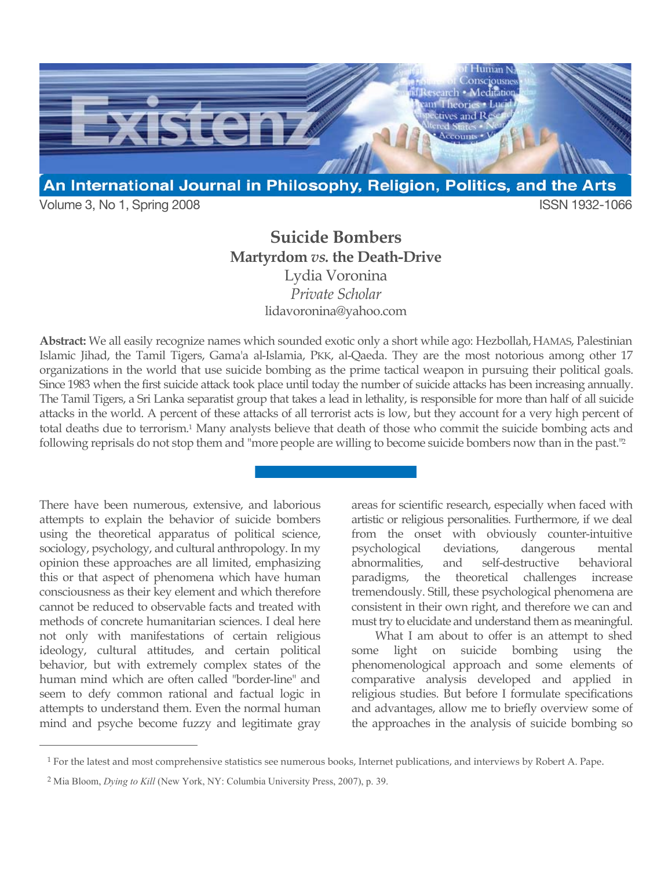

Volume 3, No 1, Spring 2008 **ISSN 1932-1066** 

# **Suicide Bombers Martyrdom** *vs.* **the Death-Drive**

Lydia Voronina *Private Scholar* lidavoronina@yahoo.com

**Abstract:** We all easily recognize names which sounded exotic only a short while ago: Hezbollah, HAMAS, Palestinian Islamic Jihad, the Tamil Tigers, Gama'a al-Islamia, PKK, al-Qaeda. They are the most notorious among other 17 organizations in the world that use suicide bombing as the prime tactical weapon in pursuing their political goals. Since 1983 when the first suicide attack took place until today the number of suicide attacks has been increasing annually. The Tamil Tigers, a Sri Lanka separatist group that takes a lead in lethality, is responsible for more than half of all suicide attacks in the world. A percent of these attacks of all terrorist acts is low, but they account for a very high percent of total deaths due to terrorism. 1 Many analysts believe that death of those who commit the suicide bombing acts and following reprisals do not stop them and "more people are willing to become suicide bombers now than in the past."2

There have been numerous, extensive, and laborious attempts to explain the behavior of suicide bombers using the theoretical apparatus of political science, sociology, psychology, and cultural anthropology. In my opinion these approaches are all limited, emphasizing this or that aspect of phenomena which have human consciousness as their key element and which therefore cannot be reduced to observable facts and treated with methods of concrete humanitarian sciences. I deal here not only with manifestations of certain religious ideology, cultural attitudes, and certain political behavior, but with extremely complex states of the human mind which are often called "border-line" and seem to defy common rational and factual logic in attempts to understand them. Even the normal human mind and psyche become fuzzy and legitimate gray

 $\overline{a}$ 

areas for scientific research, especially when faced with artistic or religious personalities. Furthermore, if we deal from the onset with obviously counter-intuitive psychological deviations, dangerous mental abnormalities, and self-destructive behavioral paradigms, the theoretical challenges increase tremendously. Still, these psychological phenomena are consistent in their own right, and therefore we can and must try to elucidate and understand them as meaningful.

What I am about to offer is an attempt to shed some light on suicide bombing using the phenomenological approach and some elements of comparative analysis developed and applied in religious studies. But before I formulate specifications and advantages, allow me to briefly overview some of the approaches in the analysis of suicide bombing so

<sup>1</sup> For the latest and most comprehensive statistics see numerous books, Internet publications, and interviews by Robert A. Pape.

<sup>2</sup> Mia Bloom, *Dying to Kill* (New York, NY: Columbia University Press, 2007), p. 39.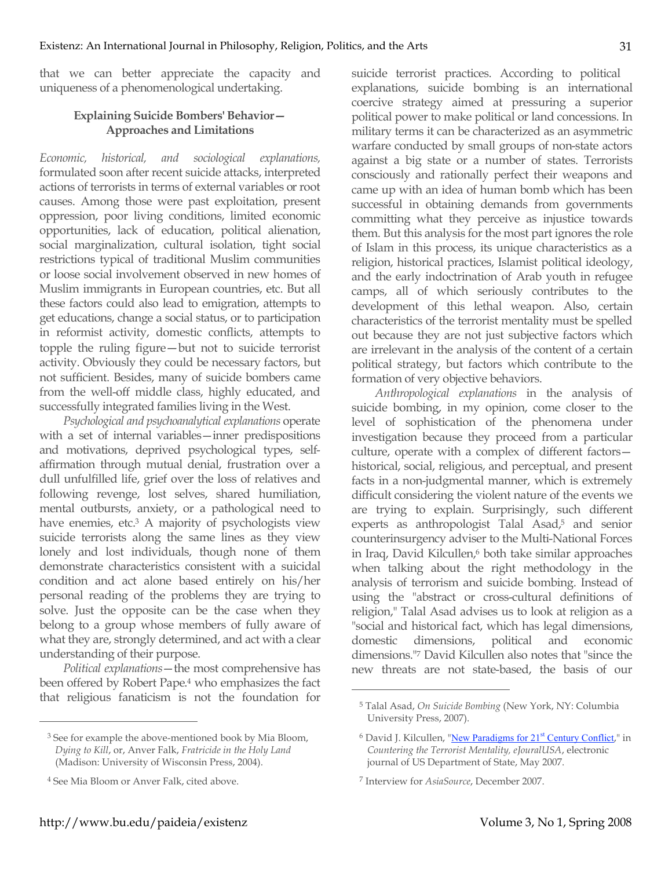that we can better appreciate the capacity and uniqueness of a phenomenological undertaking.

## **Explaining Suicide Bombers' Behavior— Approaches and Limitations**

*Economic, historical, and sociological explanations,* formulated soon after recent suicide attacks, interpreted actions of terrorists in terms of external variables or root causes. Among those were past exploitation, present oppression, poor living conditions, limited economic opportunities, lack of education, political alienation, social marginalization, cultural isolation, tight social restrictions typical of traditional Muslim communities or loose social involvement observed in new homes of Muslim immigrants in European countries, etc. But all these factors could also lead to emigration, attempts to get educations, change a social status, or to participation in reformist activity, domestic conflicts, attempts to topple the ruling figure—but not to suicide terrorist activity. Obviously they could be necessary factors, but not sufficient. Besides, many of suicide bombers came from the well-off middle class, highly educated, and successfully integrated families living in the West.

*Psychological and psychoanalytical explanations* operate with a set of internal variables—inner predispositions and motivations, deprived psychological types, selfaffirmation through mutual denial, frustration over a dull unfulfilled life, grief over the loss of relatives and following revenge, lost selves, shared humiliation, mental outbursts, anxiety, or a pathological need to have enemies, etc.<sup>3</sup> A majority of psychologists view suicide terrorists along the same lines as they view lonely and lost individuals, though none of them demonstrate characteristics consistent with a suicidal condition and act alone based entirely on his/her personal reading of the problems they are trying to solve. Just the opposite can be the case when they belong to a group whose members of fully aware of what they are, strongly determined, and act with a clear understanding of their purpose.

*Political explanations*—the most comprehensive has been offered by Robert Pape. <sup>4</sup> who emphasizes the fact that religious fanaticism is not the foundation for

 $\overline{a}$ 

suicide terrorist practices. According to political explanations, suicide bombing is an international coercive strategy aimed at pressuring a superior political power to make political or land concessions. In military terms it can be characterized as an asymmetric warfare conducted by small groups of non-state actors against a big state or a number of states. Terrorists consciously and rationally perfect their weapons and came up with an idea of human bomb which has been successful in obtaining demands from governments committing what they perceive as injustice towards them. But this analysis for the most part ignores the role of Islam in this process, its unique characteristics as a religion, historical practices, Islamist political ideology, and the early indoctrination of Arab youth in refugee camps, all of which seriously contributes to the development of this lethal weapon. Also, certain characteristics of the terrorist mentality must be spelled out because they are not just subjective factors which are irrelevant in the analysis of the content of a certain political strategy, but factors which contribute to the formation of very objective behaviors.

*Anthropological explanations* in the analysis of suicide bombing, in my opinion, come closer to the level of sophistication of the phenomena under investigation because they proceed from a particular culture, operate with a complex of different factors historical, social, religious, and perceptual, and present facts in a non-judgmental manner, which is extremely difficult considering the violent nature of the events we are trying to explain. Surprisingly, such different experts as anthropologist Talal Asad,<sup>5</sup> and senior counterinsurgency adviser to the Multi-National Forces in Iraq, David Kilcullen,<sup>6</sup> both take similar approaches when talking about the right methodology in the analysis of terrorism and suicide bombing. Instead of using the "abstract or cross-cultural definitions of religion," Talal Asad advises us to look at religion as a "social and historical fact, which has legal dimensions, domestic dimensions, political and economic dimensions."7 David Kilcullen also notes that "since the new threats are not state-based, the basis of our

<sup>3</sup> See for example the above-mentioned book by Mia Bloom, *Dying to Kill*, or, Anver Falk, *Fratricide in the Holy Land* (Madison: University of Wisconsin Press, 2004).

<sup>4</sup> See Mia Bloom or Anver Falk, cited above.

<sup>5</sup> Talal Asad, *On Suicide Bombing* (New York, NY: Columbia University Press, 2007).

 $6$  David J. Kilcullen, "New Paradigms for  $21<sup>st</sup>$  Century Conflict," in *Countering the Terrorist Mentality, eJouralUSA*, electronic journal of US Department of State, May 2007.

<sup>7</sup> Interview for *AsiaSource*, December 2007.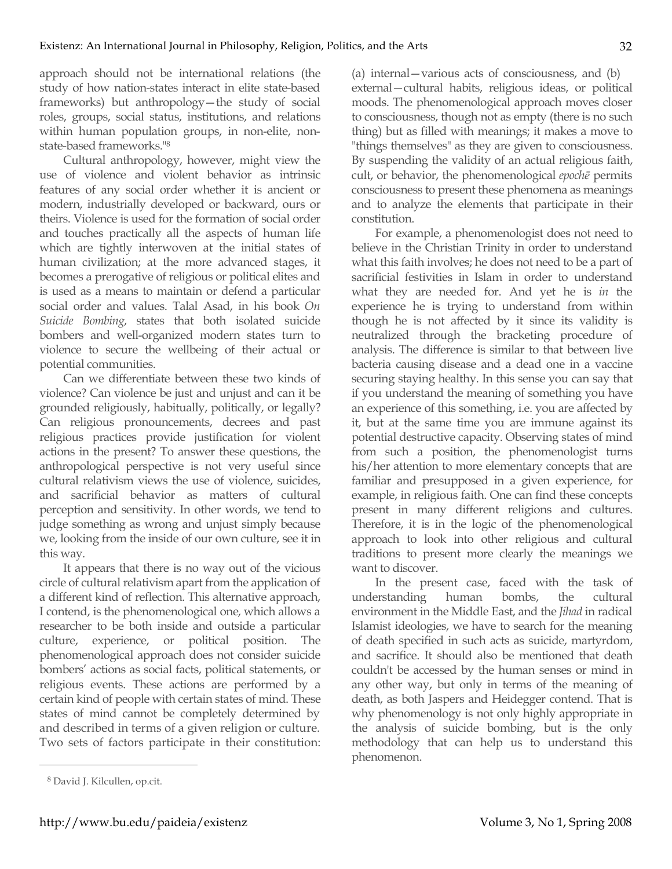approach should not be international relations (the study of how nation-states interact in elite state-based frameworks) but anthropology—the study of social roles, groups, social status, institutions, and relations within human population groups, in non-elite, nonstate-based frameworks."8

Cultural anthropology, however, might view the use of violence and violent behavior as intrinsic features of any social order whether it is ancient or modern, industrially developed or backward, ours or theirs. Violence is used for the formation of social order and touches practically all the aspects of human life which are tightly interwoven at the initial states of human civilization; at the more advanced stages, it becomes a prerogative of religious or political elites and is used as a means to maintain or defend a particular social order and values. Talal Asad, in his book *On Suicide Bombing*, states that both isolated suicide bombers and well-organized modern states turn to violence to secure the wellbeing of their actual or potential communities.

Can we differentiate between these two kinds of violence? Can violence be just and unjust and can it be grounded religiously, habitually, politically, or legally? Can religious pronouncements, decrees and past religious practices provide justification for violent actions in the present? To answer these questions, the anthropological perspective is not very useful since cultural relativism views the use of violence, suicides, and sacrificial behavior as matters of cultural perception and sensitivity. In other words, we tend to judge something as wrong and unjust simply because we, looking from the inside of our own culture, see it in this way.

It appears that there is no way out of the vicious circle of cultural relativism apart from the application of a different kind of reflection. This alternative approach, I contend, is the phenomenological one, which allows a researcher to be both inside and outside a particular culture, experience, or political position. The phenomenological approach does not consider suicide bombers' actions as social facts, political statements, or religious events. These actions are performed by a certain kind of people with certain states of mind. These states of mind cannot be completely determined by and described in terms of a given religion or culture. Two sets of factors participate in their constitution: (a) internal—various acts of consciousness, and (b) external—cultural habits, religious ideas, or political moods. The phenomenological approach moves closer to consciousness, though not as empty (there is no such thing) but as filled with meanings; it makes a move to "things themselves" as they are given to consciousness. By suspending the validity of an actual religious faith, cult, or behavior, the phenomenological *epochē* permits consciousness to present these phenomena as meanings and to analyze the elements that participate in their constitution.

For example, a phenomenologist does not need to believe in the Christian Trinity in order to understand what this faith involves; he does not need to be a part of sacrificial festivities in Islam in order to understand what they are needed for. And yet he is *in* the experience he is trying to understand from within though he is not affected by it since its validity is neutralized through the bracketing procedure of analysis. The difference is similar to that between live bacteria causing disease and a dead one in a vaccine securing staying healthy. In this sense you can say that if you understand the meaning of something you have an experience of this something, i.e. you are affected by it, but at the same time you are immune against its potential destructive capacity. Observing states of mind from such a position, the phenomenologist turns his/her attention to more elementary concepts that are familiar and presupposed in a given experience, for example, in religious faith. One can find these concepts present in many different religions and cultures. Therefore, it is in the logic of the phenomenological approach to look into other religious and cultural traditions to present more clearly the meanings we want to discover.

In the present case, faced with the task of understanding human bombs, the cultural environment in the Middle East, and the *Jihad* in radical Islamist ideologies, we have to search for the meaning of death specified in such acts as suicide, martyrdom, and sacrifice. It should also be mentioned that death couldn't be accessed by the human senses or mind in any other way, but only in terms of the meaning of death, as both Jaspers and Heidegger contend. That is why phenomenology is not only highly appropriate in the analysis of suicide bombing, but is the only methodology that can help us to understand this phenomenon.

<sup>8</sup> David J. Kilcullen, op.cit.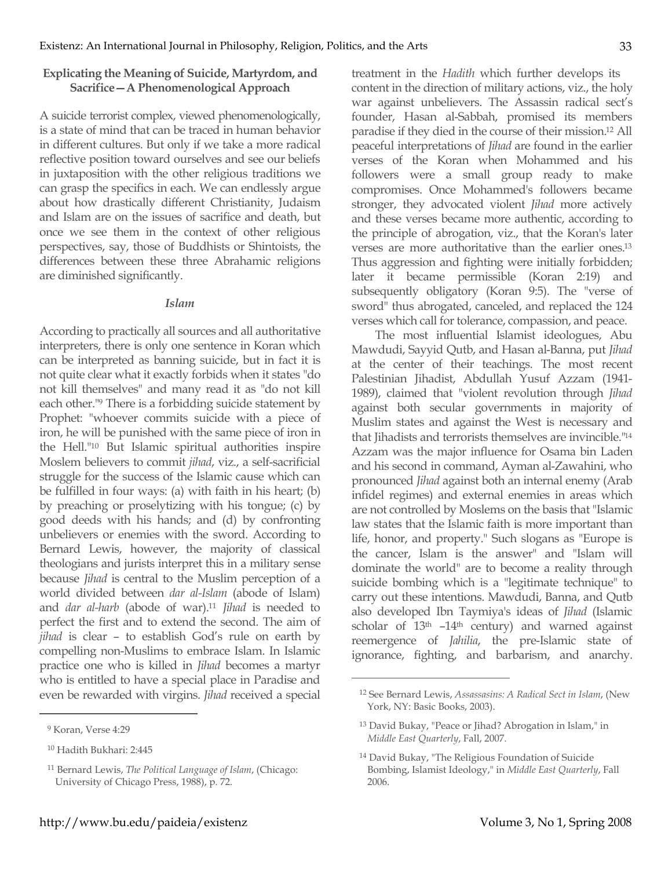### **Explicating the Meaning of Suicide, Martyrdom, and Sacrifice—A Phenomenological Approach**

A suicide terrorist complex, viewed phenomenologically, is a state of mind that can be traced in human behavior in different cultures. But only if we take a more radical reflective position toward ourselves and see our beliefs in juxtaposition with the other religious traditions we can grasp the specifics in each. We can endlessly argue about how drastically different Christianity, Judaism and Islam are on the issues of sacrifice and death, but once we see them in the context of other religious perspectives, say, those of Buddhists or Shintoists, the differences between these three Abrahamic religions are diminished significantly.

#### *Islam*

According to practically all sources and all authoritative interpreters, there is only one sentence in Koran which can be interpreted as banning suicide, but in fact it is not quite clear what it exactly forbids when it states "do not kill themselves" and many read it as "do not kill each other."9 There is a forbidding suicide statement by Prophet: "whoever commits suicide with a piece of iron, he will be punished with the same piece of iron in the Hell."10 But Islamic spiritual authorities inspire Moslem believers to commit *jihad*, viz., a self-sacrificial struggle for the success of the Islamic cause which can be fulfilled in four ways: (a) with faith in his heart; (b) by preaching or proselytizing with his tongue; (c) by good deeds with his hands; and (d) by confronting unbelievers or enemies with the sword. According to Bernard Lewis, however, the majority of classical theologians and jurists interpret this in a military sense because *Jihad* is central to the Muslim perception of a world divided between *dar al-Islam* (abode of Islam) and *dar al-harb* (abode of war).11 *Jihad* is needed to perfect the first and to extend the second. The aim of *jihad* is clear – to establish God's rule on earth by compelling non-Muslims to embrace Islam. In Islamic practice one who is killed in *Jihad* becomes a martyr who is entitled to have a special place in Paradise and even be rewarded with virgins. *Jihad* received a special

 $\overline{a}$ 

treatment in the *Hadith* which further develops its content in the direction of military actions, viz., the holy war against unbelievers. The Assassin radical sect's founder, Hasan al-Sabbah, promised its members paradise if they died in the course of their mission.12 All peaceful interpretations of *Jihad* are found in the earlier verses of the Koran when Mohammed and his followers were a small group ready to make compromises. Once Mohammed's followers became stronger, they advocated violent *Jihad* more actively and these verses became more authentic, according to the principle of abrogation, viz., that the Koran's later verses are more authoritative than the earlier ones.13 Thus aggression and fighting were initially forbidden; later it became permissible (Koran 2:19) and subsequently obligatory (Koran 9:5). The "verse of sword" thus abrogated, canceled, and replaced the 124 verses which call for tolerance, compassion, and peace.

The most influential Islamist ideologues, Abu Mawdudi, Sayyid Qutb, and Hasan al-Banna, put *Jihad* at the center of their teachings. The most recent Palestinian Jihadist, Abdullah Yusuf Azzam (1941- 1989), claimed that "violent revolution through *Jihad* against both secular governments in majority of Muslim states and against the West is necessary and that Jihadists and terrorists themselves are invincible."14 Azzam was the major influence for Osama bin Laden and his second in command, Ayman al-Zawahini, who pronounced *Jihad* against both an internal enemy (Arab infidel regimes) and external enemies in areas which are not controlled by Moslems on the basis that "Islamic law states that the Islamic faith is more important than life, honor, and property." Such slogans as "Europe is the cancer, Islam is the answer" and "Islam will dominate the world" are to become a reality through suicide bombing which is a "legitimate technique" to carry out these intentions. Mawdudi, Banna, and Qutb also developed Ibn Taymiya's ideas of *Jihad* (Islamic scholar of 13th –14th century) and warned against reemergence of *Jahilia*, the pre-Islamic state of ignorance, fighting, and barbarism, and anarchy.

<sup>9</sup> Koran, Verse 4:29

<sup>10</sup> Hadith Bukhari: 2:445

<sup>11</sup> Bernard Lewis, *The Political Language of Islam*, (Chicago: University of Chicago Press, 1988), p. 72.

<sup>12</sup> See Bernard Lewis, *Assassasins: A Radical Sect in Islam*, (New York, NY: Basic Books, 2003).

<sup>13</sup> David Bukay, "Peace or Jihad? Abrogation in Islam," in *Middle East Quarterly*, Fall, 2007.

<sup>14</sup> David Bukay, "The Religious Foundation of Suicide Bombing, Islamist Ideology," in *Middle East Quarterly*, Fall 2006.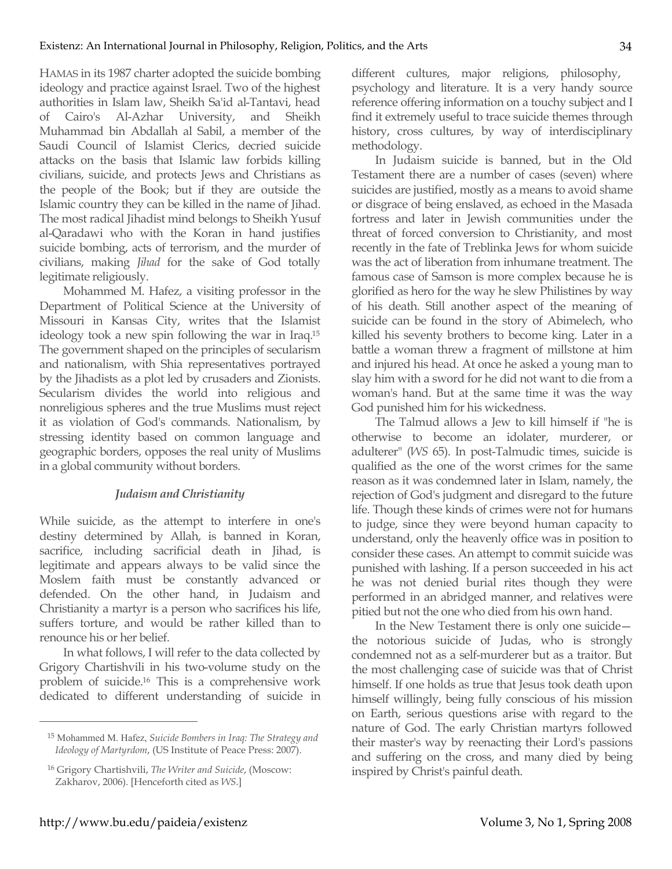HAMAS in its 1987 charter adopted the suicide bombing ideology and practice against Israel. Two of the highest authorities in Islam law, Sheikh Sa'id al-Tantavi, head of Cairo's Al-Azhar University, and Sheikh Muhammad bin Abdallah al Sabil, a member of the Saudi Council of Islamist Clerics, decried suicide attacks on the basis that Islamic law forbids killing civilians, suicide, and protects Jews and Christians as the people of the Book; but if they are outside the Islamic country they can be killed in the name of Jihad. The most radical Jihadist mind belongs to Sheikh Yusuf al-Qaradawi who with the Koran in hand justifies suicide bombing, acts of terrorism, and the murder of civilians, making *Jihad* for the sake of God totally legitimate religiously.

Mohammed M. Hafez, a visiting professor in the Department of Political Science at the University of Missouri in Kansas City, writes that the Islamist ideology took a new spin following the war in Iraq.15 The government shaped on the principles of secularism and nationalism, with Shia representatives portrayed by the Jihadists as a plot led by crusaders and Zionists. Secularism divides the world into religious and nonreligious spheres and the true Muslims must reject it as violation of God's commands. Nationalism, by stressing identity based on common language and geographic borders, opposes the real unity of Muslims in a global community without borders.

# *Judaism and Christianity*

While suicide, as the attempt to interfere in one's destiny determined by Allah, is banned in Koran, sacrifice, including sacrificial death in Jihad, is legitimate and appears always to be valid since the Moslem faith must be constantly advanced or defended. On the other hand, in Judaism and Christianity a martyr is a person who sacrifices his life, suffers torture, and would be rather killed than to renounce his or her belief.

In what follows, I will refer to the data collected by Grigory Chartishvili in his two-volume study on the problem of suicide.16 This is a comprehensive work dedicated to different understanding of suicide in different cultures, major religions, philosophy, psychology and literature. It is a very handy source reference offering information on a touchy subject and I find it extremely useful to trace suicide themes through history, cross cultures, by way of interdisciplinary methodology.

In Judaism suicide is banned, but in the Old Testament there are a number of cases (seven) where suicides are justified, mostly as a means to avoid shame or disgrace of being enslaved, as echoed in the Masada fortress and later in Jewish communities under the threat of forced conversion to Christianity, and most recently in the fate of Treblinka Jews for whom suicide was the act of liberation from inhumane treatment. The famous case of Samson is more complex because he is glorified as hero for the way he slew Philistines by way of his death. Still another aspect of the meaning of suicide can be found in the story of Abimelech, who killed his seventy brothers to become king. Later in a battle a woman threw a fragment of millstone at him and injured his head. At once he asked a young man to slay him with a sword for he did not want to die from a woman's hand. But at the same time it was the way God punished him for his wickedness.

The Talmud allows a Jew to kill himself if "he is otherwise to become an idolater, murderer, or adulterer" (*WS* 65). In post-Talmudic times, suicide is qualified as the one of the worst crimes for the same reason as it was condemned later in Islam, namely, the rejection of God's judgment and disregard to the future life. Though these kinds of crimes were not for humans to judge, since they were beyond human capacity to understand, only the heavenly office was in position to consider these cases. An attempt to commit suicide was punished with lashing. If a person succeeded in his act he was not denied burial rites though they were performed in an abridged manner, and relatives were pitied but not the one who died from his own hand.

In the New Testament there is only one suicide the notorious suicide of Judas, who is strongly condemned not as a self-murderer but as a traitor. But the most challenging case of suicide was that of Christ himself. If one holds as true that Jesus took death upon himself willingly, being fully conscious of his mission on Earth, serious questions arise with regard to the nature of God. The early Christian martyrs followed their master's way by reenacting their Lord's passions and suffering on the cross, and many died by being inspired by Christ's painful death.

<sup>15</sup> Mohammed M. Hafez, *Suicide Bombers in Iraq: The Strategy and Ideology of Martyrdom*, (US Institute of Peace Press: 2007).

<sup>16</sup> Grigory Chartishvili, *The Writer and Suicide*, (Moscow: Zakharov, 2006). [Henceforth cited as *WS*.]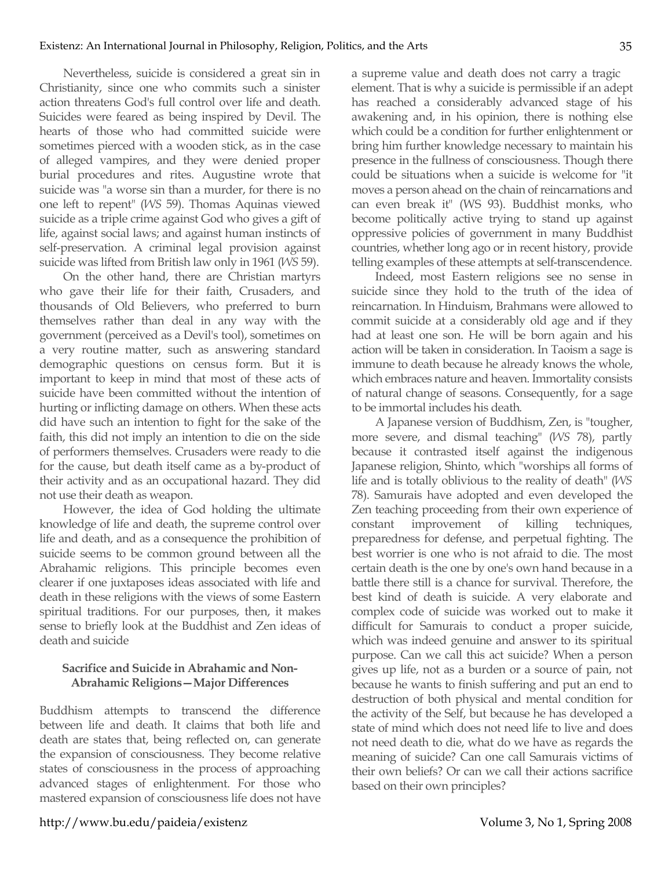Nevertheless, suicide is considered a great sin in Christianity, since one who commits such a sinister action threatens God's full control over life and death. Suicides were feared as being inspired by Devil. The hearts of those who had committed suicide were sometimes pierced with a wooden stick, as in the case of alleged vampires, and they were denied proper burial procedures and rites. Augustine wrote that suicide was "a worse sin than a murder, for there is no one left to repent" (*WS* 59). Thomas Aquinas viewed suicide as a triple crime against God who gives a gift of life, against social laws; and against human instincts of self-preservation. A criminal legal provision against suicide was lifted from British law only in 1961 (*WS* 59).

On the other hand, there are Christian martyrs who gave their life for their faith, Crusaders, and thousands of Old Believers, who preferred to burn themselves rather than deal in any way with the government (perceived as a Devil's tool), sometimes on a very routine matter, such as answering standard demographic questions on census form. But it is important to keep in mind that most of these acts of suicide have been committed without the intention of hurting or inflicting damage on others. When these acts did have such an intention to fight for the sake of the faith, this did not imply an intention to die on the side of performers themselves. Crusaders were ready to die for the cause, but death itself came as a by-product of their activity and as an occupational hazard. They did not use their death as weapon.

However, the idea of God holding the ultimate knowledge of life and death, the supreme control over life and death, and as a consequence the prohibition of suicide seems to be common ground between all the Abrahamic religions. This principle becomes even clearer if one juxtaposes ideas associated with life and death in these religions with the views of some Eastern spiritual traditions. For our purposes, then, it makes sense to briefly look at the Buddhist and Zen ideas of death and suicide

## **Sacrifice and Suicide in Abrahamic and Non-Abrahamic Religions—Major Differences**

Buddhism attempts to transcend the difference between life and death. It claims that both life and death are states that, being reflected on, can generate the expansion of consciousness. They become relative states of consciousness in the process of approaching advanced stages of enlightenment. For those who mastered expansion of consciousness life does not have a supreme value and death does not carry a tragic element. That is why a suicide is permissible if an adept has reached a considerably advanced stage of his awakening and, in his opinion, there is nothing else which could be a condition for further enlightenment or bring him further knowledge necessary to maintain his presence in the fullness of consciousness. Though there could be situations when a suicide is welcome for "it moves a person ahead on the chain of reincarnations and can even break it" (WS 93). Buddhist monks, who become politically active trying to stand up against oppressive policies of government in many Buddhist countries, whether long ago or in recent history, provide telling examples of these attempts at self-transcendence.

Indeed, most Eastern religions see no sense in suicide since they hold to the truth of the idea of reincarnation. In Hinduism, Brahmans were allowed to commit suicide at a considerably old age and if they had at least one son. He will be born again and his action will be taken in consideration. In Taoism a sage is immune to death because he already knows the whole, which embraces nature and heaven. Immortality consists of natural change of seasons. Consequently, for a sage to be immortal includes his death.

A Japanese version of Buddhism, Zen, is "tougher, more severe, and dismal teaching" (*WS* 78), partly because it contrasted itself against the indigenous Japanese religion, Shinto, which "worships all forms of life and is totally oblivious to the reality of death" (*WS* 78). Samurais have adopted and even developed the Zen teaching proceeding from their own experience of constant improvement of killing techniques, preparedness for defense, and perpetual fighting. The best worrier is one who is not afraid to die. The most certain death is the one by one's own hand because in a battle there still is a chance for survival. Therefore, the best kind of death is suicide. A very elaborate and complex code of suicide was worked out to make it difficult for Samurais to conduct a proper suicide, which was indeed genuine and answer to its spiritual purpose. Can we call this act suicide? When a person gives up life, not as a burden or a source of pain, not because he wants to finish suffering and put an end to destruction of both physical and mental condition for the activity of the Self, but because he has developed a state of mind which does not need life to live and does not need death to die, what do we have as regards the meaning of suicide? Can one call Samurais victims of their own beliefs? Or can we call their actions sacrifice based on their own principles?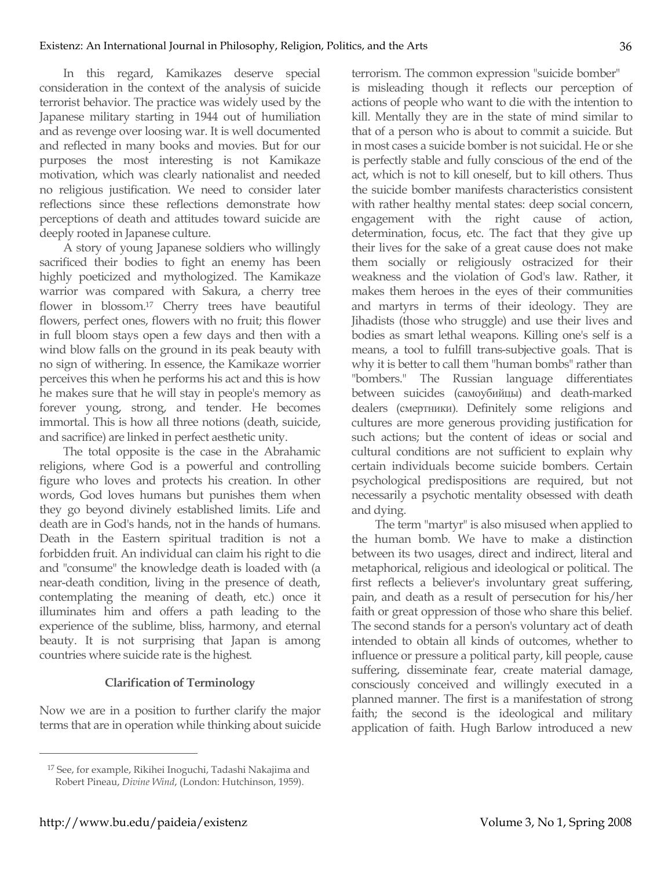In this regard, Kamikazes deserve special consideration in the context of the analysis of suicide terrorist behavior. The practice was widely used by the Japanese military starting in 1944 out of humiliation and as revenge over loosing war. It is well documented and reflected in many books and movies. But for our purposes the most interesting is not Kamikaze motivation, which was clearly nationalist and needed no religious justification. We need to consider later reflections since these reflections demonstrate how perceptions of death and attitudes toward suicide are deeply rooted in Japanese culture.

A story of young Japanese soldiers who willingly sacrificed their bodies to fight an enemy has been highly poeticized and mythologized. The Kamikaze warrior was compared with Sakura, a cherry tree flower in blossom.17 Cherry trees have beautiful flowers, perfect ones, flowers with no fruit; this flower in full bloom stays open a few days and then with a wind blow falls on the ground in its peak beauty with no sign of withering. In essence, the Kamikaze worrier perceives this when he performs his act and this is how he makes sure that he will stay in people's memory as forever young, strong, and tender. He becomes immortal. This is how all three notions (death, suicide, and sacrifice) are linked in perfect aesthetic unity.

The total opposite is the case in the Abrahamic religions, where God is a powerful and controlling figure who loves and protects his creation. In other words, God loves humans but punishes them when they go beyond divinely established limits. Life and death are in God's hands, not in the hands of humans. Death in the Eastern spiritual tradition is not a forbidden fruit. An individual can claim his right to die and "consume" the knowledge death is loaded with (a near-death condition, living in the presence of death, contemplating the meaning of death, etc.) once it illuminates him and offers a path leading to the experience of the sublime, bliss, harmony, and eternal beauty. It is not surprising that Japan is among countries where suicide rate is the highest.

# **Clarification of Terminology**

Now we are in a position to further clarify the major terms that are in operation while thinking about suicide terrorism. The common expression "suicide bomber" is misleading though it reflects our perception of actions of people who want to die with the intention to kill. Mentally they are in the state of mind similar to that of a person who is about to commit a suicide. But in most cases a suicide bomber is not suicidal. He or she is perfectly stable and fully conscious of the end of the act, which is not to kill oneself, but to kill others. Thus the suicide bomber manifests characteristics consistent with rather healthy mental states: deep social concern, engagement with the right cause of action, determination, focus, etc. The fact that they give up their lives for the sake of a great cause does not make them socially or religiously ostracized for their weakness and the violation of God's law. Rather, it makes them heroes in the eyes of their communities and martyrs in terms of their ideology. They are Jihadists (those who struggle) and use their lives and bodies as smart lethal weapons. Killing one's self is a means, a tool to fulfill trans-subjective goals. That is why it is better to call them "human bombs" rather than "bombers." The Russian language differentiates between suicides (самоубийцы) and death-marked dealers (смертники). Definitely some religions and cultures are more generous providing justification for such actions; but the content of ideas or social and cultural conditions are not sufficient to explain why certain individuals become suicide bombers. Certain psychological predispositions are required, but not necessarily a psychotic mentality obsessed with death and dying.

The term "martyr" is also misused when applied to the human bomb. We have to make a distinction between its two usages, direct and indirect, literal and metaphorical, religious and ideological or political. The first reflects a believer's involuntary great suffering, pain, and death as a result of persecution for his/her faith or great oppression of those who share this belief. The second stands for a person's voluntary act of death intended to obtain all kinds of outcomes, whether to influence or pressure a political party, kill people, cause suffering, disseminate fear, create material damage, consciously conceived and willingly executed in a planned manner. The first is a manifestation of strong faith; the second is the ideological and military application of faith. Hugh Barlow introduced a new

<sup>17</sup> See, for example, Rikihei Inoguchi, Tadashi Nakajima and Robert Pineau, *Divine Wind*, (London: Hutchinson, 1959).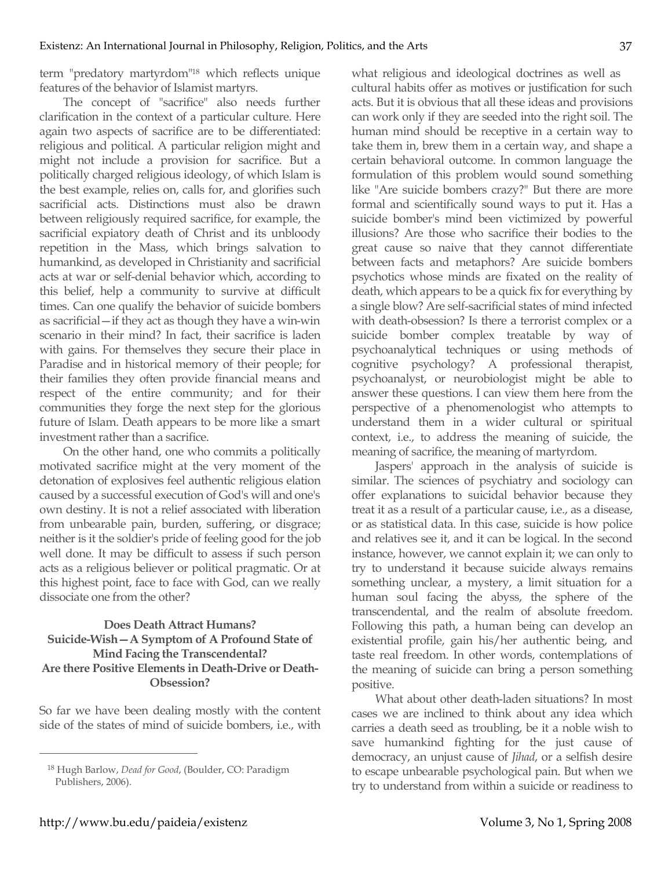term "predatory martyrdom"18 which reflects unique features of the behavior of Islamist martyrs.

The concept of "sacrifice" also needs further clarification in the context of a particular culture. Here again two aspects of sacrifice are to be differentiated: religious and political. A particular religion might and might not include a provision for sacrifice. But a politically charged religious ideology, of which Islam is the best example, relies on, calls for, and glorifies such sacrificial acts. Distinctions must also be drawn between religiously required sacrifice, for example, the sacrificial expiatory death of Christ and its unbloody repetition in the Mass, which brings salvation to humankind, as developed in Christianity and sacrificial acts at war or self-denial behavior which, according to this belief, help a community to survive at difficult times. Can one qualify the behavior of suicide bombers as sacrificial—if they act as though they have a win-win scenario in their mind? In fact, their sacrifice is laden with gains. For themselves they secure their place in Paradise and in historical memory of their people; for their families they often provide financial means and respect of the entire community; and for their communities they forge the next step for the glorious future of Islam. Death appears to be more like a smart investment rather than a sacrifice.

On the other hand, one who commits a politically motivated sacrifice might at the very moment of the detonation of explosives feel authentic religious elation caused by a successful execution of God's will and one's own destiny. It is not a relief associated with liberation from unbearable pain, burden, suffering, or disgrace; neither is it the soldier's pride of feeling good for the job well done. It may be difficult to assess if such person acts as a religious believer or political pragmatic. Or at this highest point, face to face with God, can we really dissociate one from the other?

# **Does Death Attract Humans? Suicide-Wish—A Symptom of A Profound State of Mind Facing the Transcendental? Are there Positive Elements in Death-Drive or Death-Obsession?**

So far we have been dealing mostly with the content side of the states of mind of suicide bombers, i.e., with

what religious and ideological doctrines as well as cultural habits offer as motives or justification for such acts. But it is obvious that all these ideas and provisions can work only if they are seeded into the right soil. The human mind should be receptive in a certain way to take them in, brew them in a certain way, and shape a certain behavioral outcome. In common language the formulation of this problem would sound something like "Are suicide bombers crazy?" But there are more formal and scientifically sound ways to put it. Has a suicide bomber's mind been victimized by powerful illusions? Are those who sacrifice their bodies to the great cause so naive that they cannot differentiate between facts and metaphors? Are suicide bombers psychotics whose minds are fixated on the reality of death, which appears to be a quick fix for everything by a single blow? Are self-sacrificial states of mind infected with death-obsession? Is there a terrorist complex or a suicide bomber complex treatable by way of psychoanalytical techniques or using methods of cognitive psychology? A professional therapist, psychoanalyst, or neurobiologist might be able to answer these questions. I can view them here from the perspective of a phenomenologist who attempts to understand them in a wider cultural or spiritual context, i.e., to address the meaning of suicide, the meaning of sacrifice, the meaning of martyrdom.

Jaspers' approach in the analysis of suicide is similar. The sciences of psychiatry and sociology can offer explanations to suicidal behavior because they treat it as a result of a particular cause, i.e., as a disease, or as statistical data. In this case, suicide is how police and relatives see it, and it can be logical. In the second instance, however, we cannot explain it; we can only to try to understand it because suicide always remains something unclear, a mystery, a limit situation for a human soul facing the abyss, the sphere of the transcendental, and the realm of absolute freedom. Following this path, a human being can develop an existential profile, gain his/her authentic being, and taste real freedom. In other words, contemplations of the meaning of suicide can bring a person something positive.

What about other death-laden situations? In most cases we are inclined to think about any idea which carries a death seed as troubling, be it a noble wish to save humankind fighting for the just cause of democracy, an unjust cause of *Jihad*, or a selfish desire to escape unbearable psychological pain. But when we try to understand from within a suicide or readiness to

<sup>18</sup> Hugh Barlow, *Dead for Good*, (Boulder, CO: Paradigm Publishers, 2006).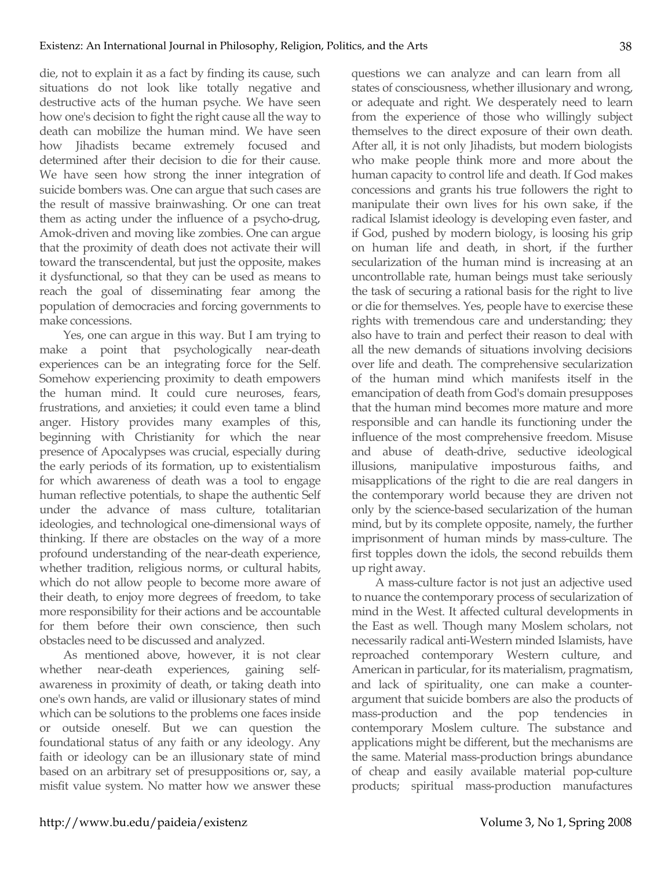die, not to explain it as a fact by finding its cause, such situations do not look like totally negative and destructive acts of the human psyche. We have seen how one's decision to fight the right cause all the way to death can mobilize the human mind. We have seen how Jihadists became extremely focused and determined after their decision to die for their cause. We have seen how strong the inner integration of suicide bombers was. One can argue that such cases are the result of massive brainwashing. Or one can treat them as acting under the influence of a psycho-drug, Amok-driven and moving like zombies. One can argue that the proximity of death does not activate their will toward the transcendental, but just the opposite, makes it dysfunctional, so that they can be used as means to reach the goal of disseminating fear among the population of democracies and forcing governments to make concessions.

Yes, one can argue in this way. But I am trying to make a point that psychologically near-death experiences can be an integrating force for the Self. Somehow experiencing proximity to death empowers the human mind. It could cure neuroses, fears, frustrations, and anxieties; it could even tame a blind anger. History provides many examples of this, beginning with Christianity for which the near presence of Apocalypses was crucial, especially during the early periods of its formation, up to existentialism for which awareness of death was a tool to engage human reflective potentials, to shape the authentic Self under the advance of mass culture, totalitarian ideologies, and technological one-dimensional ways of thinking. If there are obstacles on the way of a more profound understanding of the near-death experience, whether tradition, religious norms, or cultural habits, which do not allow people to become more aware of their death, to enjoy more degrees of freedom, to take more responsibility for their actions and be accountable for them before their own conscience, then such obstacles need to be discussed and analyzed.

As mentioned above, however, it is not clear whether near-death experiences, gaining selfawareness in proximity of death, or taking death into one's own hands, are valid or illusionary states of mind which can be solutions to the problems one faces inside or outside oneself. But we can question the foundational status of any faith or any ideology. Any faith or ideology can be an illusionary state of mind based on an arbitrary set of presuppositions or, say, a misfit value system. No matter how we answer these questions we can analyze and can learn from all states of consciousness, whether illusionary and wrong, or adequate and right. We desperately need to learn from the experience of those who willingly subject themselves to the direct exposure of their own death. After all, it is not only Jihadists, but modern biologists who make people think more and more about the human capacity to control life and death. If God makes concessions and grants his true followers the right to manipulate their own lives for his own sake, if the radical Islamist ideology is developing even faster, and if God, pushed by modern biology, is loosing his grip on human life and death, in short, if the further secularization of the human mind is increasing at an uncontrollable rate, human beings must take seriously the task of securing a rational basis for the right to live or die for themselves. Yes, people have to exercise these rights with tremendous care and understanding; they also have to train and perfect their reason to deal with all the new demands of situations involving decisions over life and death. The comprehensive secularization of the human mind which manifests itself in the emancipation of death from God's domain presupposes that the human mind becomes more mature and more responsible and can handle its functioning under the influence of the most comprehensive freedom. Misuse and abuse of death-drive, seductive ideological illusions, manipulative imposturous faiths, and misapplications of the right to die are real dangers in the contemporary world because they are driven not only by the science-based secularization of the human mind, but by its complete opposite, namely, the further imprisonment of human minds by mass-culture. The first topples down the idols, the second rebuilds them up right away.

A mass-culture factor is not just an adjective used to nuance the contemporary process of secularization of mind in the West. It affected cultural developments in the East as well. Though many Moslem scholars, not necessarily radical anti-Western minded Islamists, have reproached contemporary Western culture, and American in particular, for its materialism, pragmatism, and lack of spirituality, one can make a counterargument that suicide bombers are also the products of mass-production and the pop tendencies in contemporary Moslem culture. The substance and applications might be different, but the mechanisms are the same. Material mass-production brings abundance of cheap and easily available material pop-culture products; spiritual mass-production manufactures